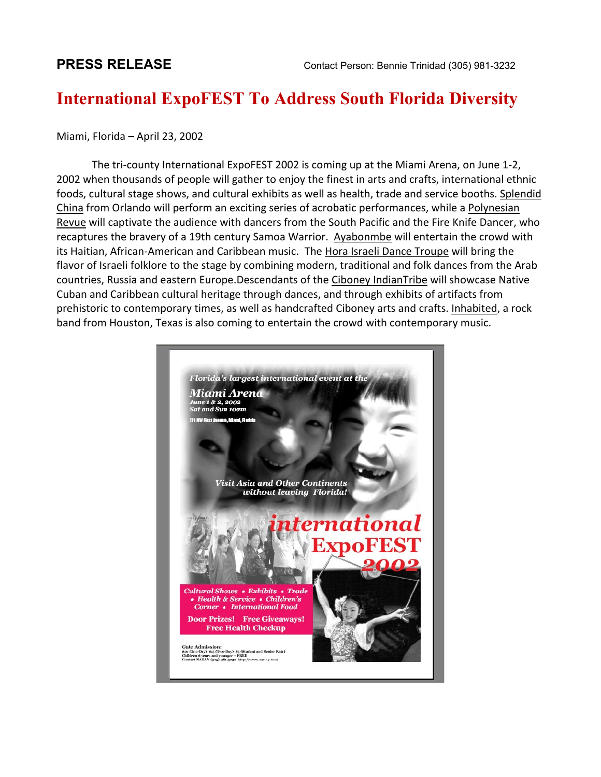## **[International ExpoFEST T](mip://01ba3d70/Expofest.htm)o Address South Florida Diversity**

## Miami, Florida – April 23, 2002

 The tri-county International ExpoFEST 2002 is coming up at the Miami Arena, on June 1-2, 2002 when thousands of people will gather to enjoy the finest in arts and crafts, international ethnic foods, cultural stage shows, and cultural exhibits as well as health, trade and service booths. Splendid China from Orlando will perform an exciting series of acrobatic performances, while a Polynesian Revue will captivate the audience with dancers from the South Pacific and the Fire Knife Dancer, who recaptures the bravery of a 19th century Samoa Warrior. Ayabonmbe will entertain the crowd with its Haitian, African-American and Caribbean music. The Hora Israeli Dance Troupe will bring the flavor of Israeli folklore to the stage by combining modern, traditional and folk dances from the Arab countries, Russia and eastern Europe.Descendants of the Ciboney IndianTribe will showcase Native Cuban and Caribbean cultural heritage through dances, and through exhibits of artifacts from prehistoric to contemporary times, as well as handcrafted Ciboney arts and crafts. Inhabited, a rock band from Houston, Texas is also coming to entertain the crowd with contemporary music.